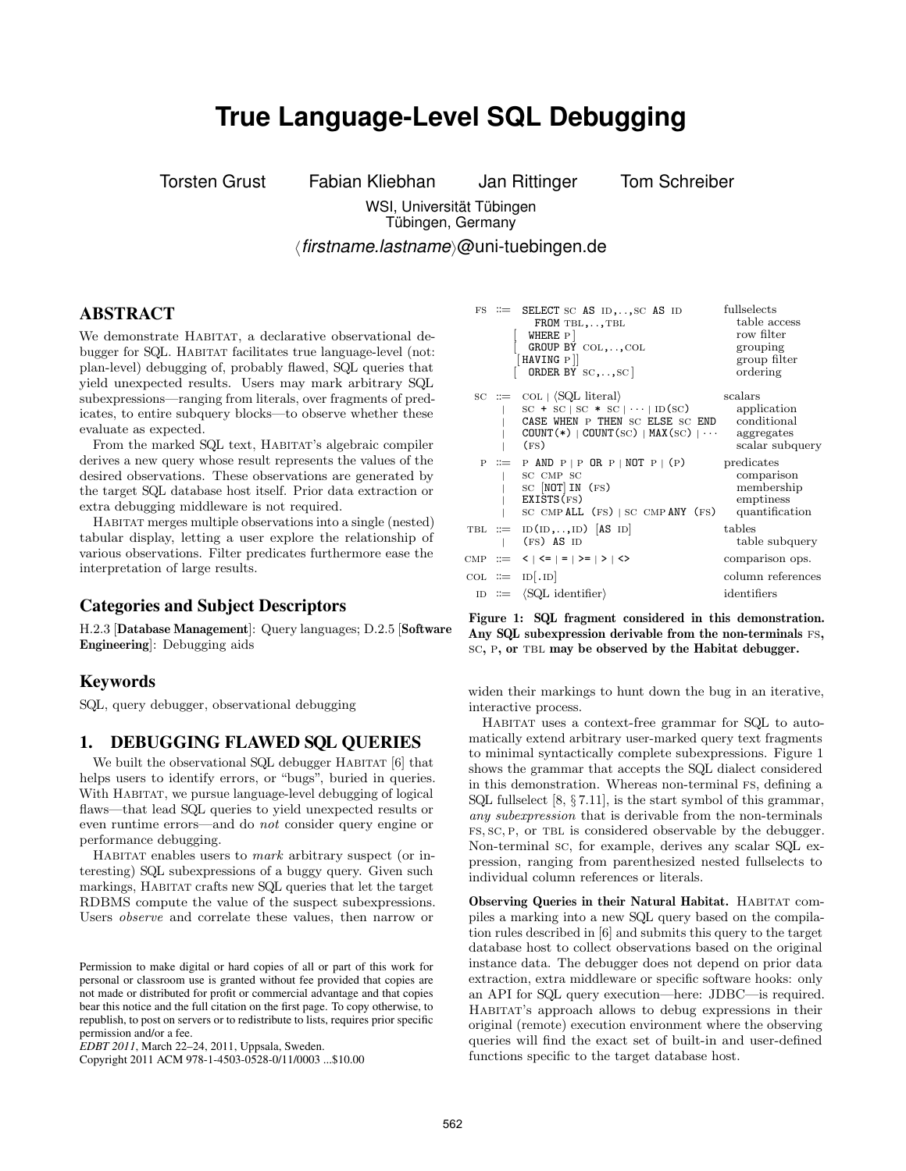# **True Language-Level SQL Debugging**

Torsten Grust Fabian Kliebhan Jan Rittinger Tom Schreiber

WSI, Universität Tübingen Tübingen, Germany

*firstname.lastname*@uni-tuebingen.de

### ABSTRACT

We demonstrate HABITAT, a declarative observational debugger for SQL. HABITAT facilitates true language-level (not: plan-level) debugging of, probably flawed, SQL queries that yield unexpected results. Users may mark arbitrary SQL subexpressions—ranging from literals, over fragments of predicates, to entire subquery blocks—to observe whether these evaluate as expected.

From the marked SQL text, HABITAT's algebraic compiler derives a new query whose result represents the values of the desired observations. These observations are generated by the target SQL database host itself. Prior data extraction or extra debugging middleware is not required.

Habitat merges multiple observations into a single (nested) tabular display, letting a user explore the relationship of various observations. Filter predicates furthermore ease the interpretation of large results.

#### Categories and Subject Descriptors

H.2.3 [Database Management]: Query languages; D.2.5 [Software Engineering]: Debugging aids

#### Keywords

SQL, query debugger, observational debugging

#### 1. DEBUGGING FLAWED SQL QUERIES

We built the observational SQL debugger HABITAT [6] that helps users to identify errors, or "bugs", buried in queries. With HABITAT, we pursue language-level debugging of logical flaws—that lead SQL queries to yield unexpected results or even runtime errors—and do not consider query engine or performance debugging.

HABITAT enables users to *mark* arbitrary suspect (or interesting) SQL subexpressions of a buggy query. Given such markings, HABITAT crafts new SQL queries that let the target RDBMS compute the value of the suspect subexpressions. Users observe and correlate these values, then narrow or

|    | $FS \cong$ SELECT SC AS ID, , SC AS ID<br>$FROM$ TBL, , TBL<br>WHERE P<br>GROUP BY COL, , COL<br>HAVING P]<br>ORDER BY $_{\rm SC, , \rm SC}$                                                                                   | fullselects<br>table access<br>row filter<br>grouping<br>group filter<br>ordering |
|----|--------------------------------------------------------------------------------------------------------------------------------------------------------------------------------------------------------------------------------|-----------------------------------------------------------------------------------|
|    | $\text{SC} \ ::= \text{COL} \   \ \langle \text{SQL literal} \rangle$<br>$SC + SC$   $SC * SC$   $\cdots$   ID(SC)<br>CASE WHEN P THEN SC ELSE SC END<br>$COUNT(*)$   COUNT $({\rm sc})$   MAX $({\rm sc})$   $\cdots$<br>(FS) | scalars<br>application<br>conditional<br>aggregates<br>scalar subquery            |
| P. | $\equiv$ P AND P   P OR P   NOT P   (P)<br>SC CMP SC<br>$SC$ $[NOT] IN$ $(FS)$<br>EXISTS(FS)<br>SC CMPALL (FS)   SC CMPANY (FS)                                                                                                | predicates<br>comparison<br>membership<br>emptiness<br>quantification             |
|    | TBL $:=$ ID(ID,,ID)  AS ID <br>$(FS)$ AS ID                                                                                                                                                                                    | tables<br>table subquery                                                          |
|    | CMP ::= <   <=   =   >=   >   <>                                                                                                                                                                                               | comparison ops.                                                                   |
|    | $COL ::= ID . ID$                                                                                                                                                                                                              | column references                                                                 |
|    | $ID ::= \langle SQL identifier \rangle$                                                                                                                                                                                        | identifiers                                                                       |

Figure 1: SQL fragment considered in this demonstration. Any SQL subexpression derivable from the non-terminals FS, sc, p, or tbl may be observed by the Habitat debugger.

widen their markings to hunt down the bug in an iterative, interactive process.

HABITAT uses a context-free grammar for SQL to automatically extend arbitrary user-marked query text fragments to minimal syntactically complete subexpressions. Figure 1 shows the grammar that accepts the SQL dialect considered in this demonstration. Whereas non-terminal Fs, defining a SQL fullselect [8, § 7.11], is the start symbol of this grammar, any subexpression that is derivable from the non-terminals fs, sc, p, or tbl is considered observable by the debugger. Non-terminal sc, for example, derives any scalar SQL expression, ranging from parenthesized nested fullselects to individual column references or literals.

Observing Queries in their Natural Habitat. HABITAT compiles a marking into a new SQL query based on the compilation rules described in [6] and submits this query to the target database host to collect observations based on the original instance data. The debugger does not depend on prior data extraction, extra middleware or specific software hooks: only an API for SQL query execution—here: JDBC—is required. Habitat's approach allows to debug expressions in their original (remote) execution environment where the observing queries will find the exact set of built-in and user-defined functions specific to the target database host.

Permission to make digital or hard copies of all or part of this work for personal or classroom use is granted without fee provided that copies are not made or distributed for profit or commercial advantage and that copies bear this notice and the full citation on the first page. To copy otherwise, to republish, to post on servers or to redistribute to lists, requires prior specific permission and/or a fee.

*EDBT 2011*, March 22–24, 2011, Uppsala, Sweden.

Copyright 2011 ACM 978-1-4503-0528-0/11/0003 ...\$10.00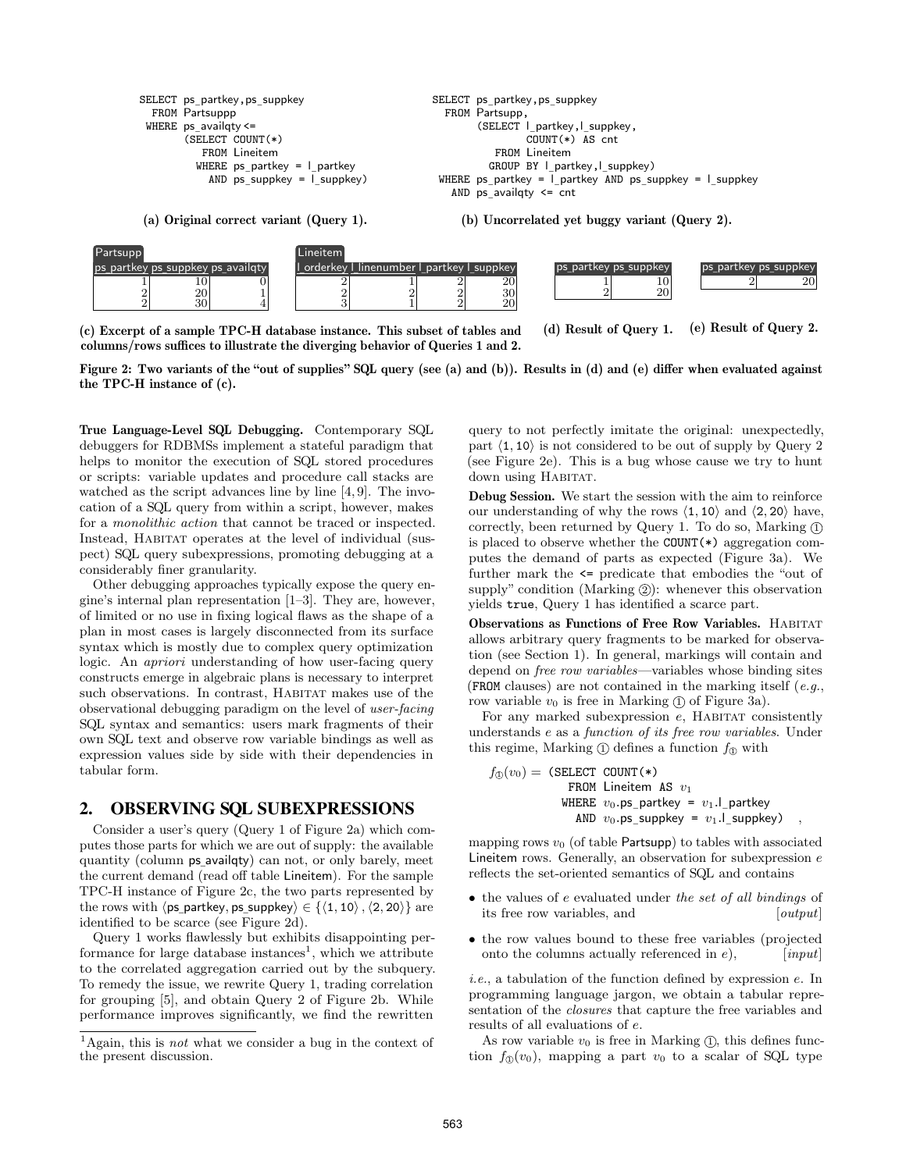

<sup>(</sup>a) Original correct variant (Query 1).

(b) Uncorrelated yet buggy variant (Query 2).



(c) Excerpt of a sample TPC-H database instance. This subset of tables and columns/rows suffices to illustrate the diverging behavior of Queries 1 and 2.

(d) Result of Query 1. (e) Result of Query 2.

Figure 2: Two variants of the "out of supplies" SQL query (see (a) and (b)). Results in (d) and (e) differ when evaluated against the TPC-H instance of (c).

True Language-Level SQL Debugging. Contemporary SQL debuggers for RDBMSs implement a stateful paradigm that helps to monitor the execution of SQL stored procedures or scripts: variable updates and procedure call stacks are watched as the script advances line by line [4, 9]. The invocation of a SQL query from within a script, however, makes for a monolithic action that cannot be traced or inspected. Instead, HABITAT operates at the level of individual (suspect) SQL query subexpressions, promoting debugging at a considerably finer granularity.

Other debugging approaches typically expose the query engine's internal plan representation [1–3]. They are, however, of limited or no use in fixing logical flaws as the shape of a plan in most cases is largely disconnected from its surface syntax which is mostly due to complex query optimization logic. An apriori understanding of how user-facing query constructs emerge in algebraic plans is necessary to interpret such observations. In contrast, HABITAT makes use of the observational debugging paradigm on the level of user-facing SQL syntax and semantics: users mark fragments of their own SQL text and observe row variable bindings as well as expression values side by side with their dependencies in tabular form.

#### 2. OBSERVING SQL SUBEXPRESSIONS

Consider a user's query (Query 1 of Figure 2a) which computes those parts for which we are out of supply: the available quantity (column ps availqty) can not, or only barely, meet ¯ the current demand (read off table Lineitem). For the sample TPC-H instance of Figure 2c, the two parts represented by the rows with  $\langle$ ps\_partkey, ps\_suppkey $\rangle \in \{ \langle 1, 10 \rangle, \langle 2, 20 \rangle \}$  are  $\lim_{x \to \infty} \frac{\log \max(y, \log \max(y, \log \max(y, \log \max(y, \log \max(y, \log \max)))}{\log \max \max(y, \log \max \max(y, \log \max(y, \log \max(y, \log \max)))}$ 

Query 1 works flawlessly but exhibits disappointing performance for large database instances<sup>1</sup>, which we attribute to the correlated aggregation carried out by the subquery. To remedy the issue, we rewrite Query 1, trading correlation for grouping [5], and obtain Query 2 of Figure 2b. While performance improves significantly, we find the rewritten

query to not perfectly imitate the original: unexpectedly, part  $\langle 1, 10 \rangle$  is not considered to be out of supply by Query 2 (see Figure 2e). This is a bug whose cause we try to hunt down using HABITAT.

Debug Session. We start the session with the aim to reinforce our understanding of why the rows  $\langle 1, 10 \rangle$  and  $\langle 2, 20 \rangle$  have, correctly, been returned by Query 1. To do so, Marking  $(1)$ is placed to observe whether the COUNT(\*) aggregation computes the demand of parts as expected (Figure 3a). We further mark the <= predicate that embodies the "out of supply" condition (Marking  $(2)$ ): whenever this observation yields true, Query 1 has identified a scarce part.

Observations as Functions of Free Row Variables. HABITAT allows arbitrary query fragments to be marked for observation (see Section 1). In general, markings will contain and depend on free row variables—variables whose binding sites (FROM clauses) are not contained in the marking itself  $(e.g.,)$ row variable  $v_0$  is free in Marking  $(1)$  of Figure 3a).

For any marked subexpression  $e$ , HABITAT consistently understands e as a function of its free row variables. Under this regime, Marking  $\textcircled{1}$  defines a function  $f_{\textcircled{1}}$  with

$$
f_{\textcircled{D}}(v_{0}) = \text{ (SELECT COUNT(*)}\n \qquad \text{FROM Lineitem AS } v_{1}\n \qquad \text{WHERE } v_{0}. \text{ps\_partkey} = v_{1}. \text{L}_{\text{partkey}}
$$
\n
$$
\text{AND } v_{0}. \text{ps\_suppkey} = v_{1}. \text{L}_{\text{suppkey}} \text{)}
$$

mapping rows  $v_0$  (of table Partsupp) to tables with associated Lineitem rows. Generally, an observation for subexpression e reflects the set-oriented semantics of SQL and contains

- the values of e evaluated under the set of all bindings of its free row variables, and [*output*]
- the row values bound to these free variables (projected onto the columns actually referenced in  $e$ ),  $\qquad \qquad$  [input]

i.e., a tabulation of the function defined by expression e. In programming language jargon, we obtain a tabular representation of the closures that capture the free variables and results of all evaluations of e.

As row variable  $v_0$  is free in Marking  $(1)$ , this defines function  $f_{\mathbb{Q}}(v_0)$ , mapping a part  $v_0$  to a scalar of SQL type

<sup>&</sup>lt;sup>1</sup>Again, this is *not* what we consider a bug in the context of the present discussion.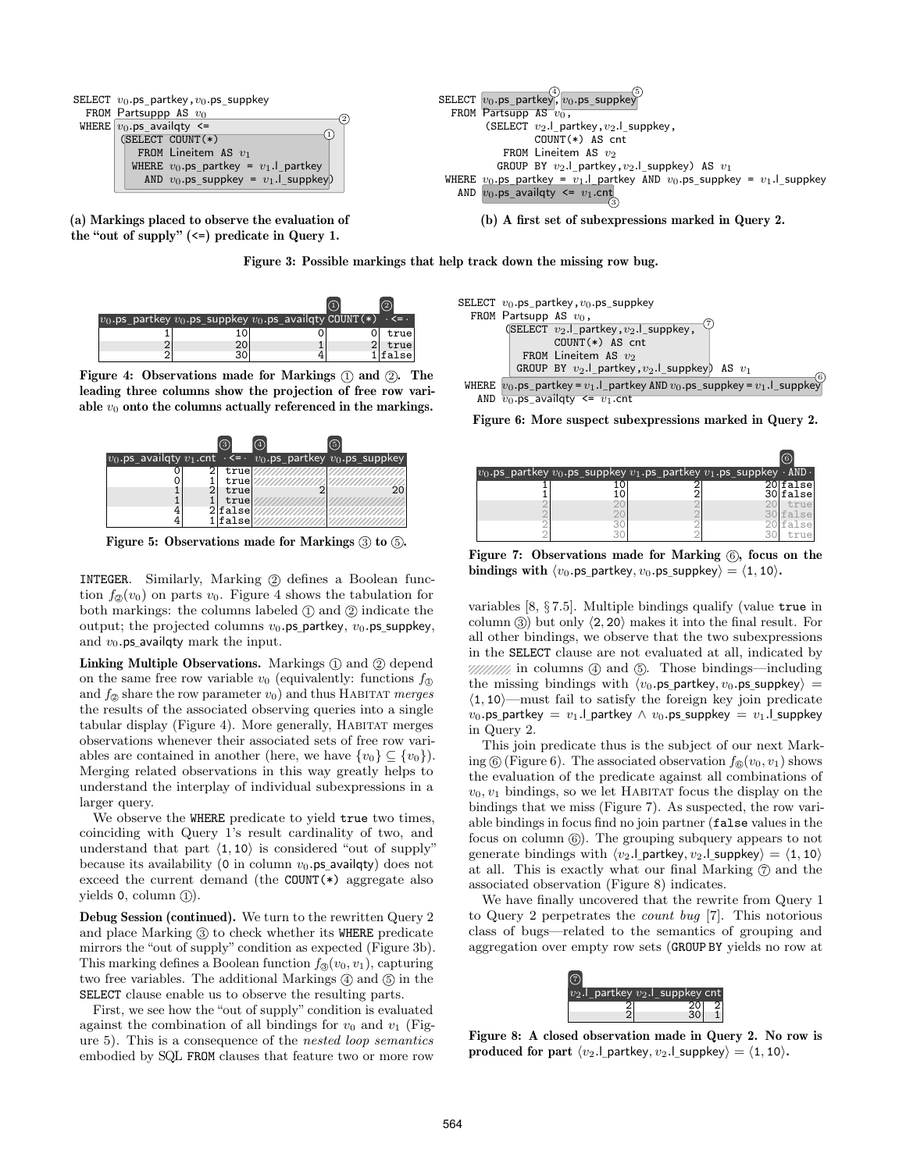

(a) Markings placed to observe the evaluation of the "out of supply" (<=) predicate in Query 1.



(b) A first set of subexpressions marked in Query 2.



| $v_0$ .ps_partkey $v_0$ .ps_suppkey $v_0$ .ps_availqty COUNT(*) |  | <= .  |
|-----------------------------------------------------------------|--|-------|
| LO                                                              |  | true  |
| 20                                                              |  | true  |
|                                                                 |  | false |

Figure 4: Observations made for Markings  $(1)$  and  $(2)$ . The leading three columns show the projection of free row variable  $v_0$  onto the columns actually referenced in the markings.



Figure 5: Observations made for Markings  $(3)$  to  $(5)$ .

INTEGER. Similarly, Marking 2 defines a Boolean function  $f_{\mathcal{D}}(v_0)$  on parts  $v_0$ . Figure 4 shows the tabulation for both markings: the columns labeled  $\mathbb D$  and  $\mathbb Q$  indicate the output; the projected columns  $v_0$ .ps\_partkey,  $v_0$ .ps\_suppkey, and  $v_0$ .ps availaty mark the input and  $v_0$  ps availqty mark the input.

Linking Multiple Observations. Markings  $(1)$  and  $(2)$  depend on the same free row variable  $v_0$  (equivalently: functions  $f_{\text{1}}$ ) and  $f_{\odot}$  share the row parameter  $v_0$ ) and thus HABITAT merges the results of the associated observing queries into a single tabular display (Figure 4). More generally, Habitat merges observations whenever their associated sets of free row variables are contained in another (here, we have  $\{v_0\} \subseteq \{v_0\}$ ). Merging related observations in this way greatly helps to understand the interplay of individual subexpressions in a larger query.

We observe the WHERE predicate to yield true two times, coinciding with Query 1's result cardinality of two, and understand that part  $\langle 1, 10 \rangle$  is considered "out of supply" because its availability (0 in column  $v_0$ .ps\_availqty) does not  $\alpha$  exceed the current demand (the COUNT( $\ast$ ) aggregate also yields  $0$ , column  $(1)$ .

Debug Session (continued). We turn to the rewritten Query 2 and place Marking  $\circled{3}$  to check whether its WHERE predicate mirrors the "out of supply" condition as expected (Figure 3b). This marking defines a Boolean function  $f_{\mathcal{D}}(v_0, v_1)$ , capturing two free variables. The additional Markings  $(4)$  and  $(5)$  in the SELECT clause enable us to observe the resulting parts.

First, we see how the "out of supply" condition is evaluated against the combination of all bindings for  $v_0$  and  $v_1$  (Figure 5). This is a consequence of the nested loop semantics embodied by SQL FROM clauses that feature two or more row



Figure 6: More suspect subexpressions marked in Query 2.

| $v_0$ .ps_partkey $v_0$ .ps_suppkey $\overline{v_1}$ .ps_partkey $v_1$ .ps_suppkey $\cdot$ AND $\cdot$ |  |                      |
|--------------------------------------------------------------------------------------------------------|--|----------------------|
| 10                                                                                                     |  | 20 false<br>30 false |
|                                                                                                        |  | true<br>30 false     |
|                                                                                                        |  | lfalse<br>true       |

Figure 7: Observations made for Marking  $(6)$ , focus on the bindings with  $\langle v_0.\mathsf{ps}\_ \mathsf{partkey}, v_0.\mathsf{ps}\_ \mathsf{suppkey} \rangle = \langle 1, 10 \rangle.$ 

variables [8, § 7.5]. Multiple bindings qualify (value true in column  $\circled{3}$  but only  $\langle 2, 20 \rangle$  makes it into the final result. For all other bindings, we observe that the two subexpressions in the SELECT clause are not evaluated at all, indicated by  $\frac{1}{2}$  in columns  $\phi$  and  $\phi$ . Those bindings—including the missing bindings with  $\langle v_0.\textsf{ps}\rangle$  partkey,  $v_0.\textsf{ps}\rangle$  suppkey) =  $\langle 1, 10 \rangle$ —must fail to satisfy the foreign key join predicate  $v_0$ .ps\_partkey =  $v_1$ .l\_partkey ∧  $v_0$ .ps\_suppkey =  $v_1$ .l\_suppkey in Quory 2 ¯ in Query 2.

This join predicate thus is the subject of our next Marking  $(6)$  (Figure 6). The associated observation  $f_6(v_0, v_1)$  shows the evaluation of the predicate against all combinations of  $v_0, v_1$  bindings, so we let HABITAT focus the display on the bindings that we miss (Figure 7). As suspected, the row variable bindings in focus find no join partner (false values in the focus on column  $(6)$ . The grouping subquery appears to not generate bindings with  $\langle v_2$ .  $\rangle$  partkey,  $v_2$ .  $\rangle$  suppkey) =  $\langle 1, 10 \rangle$ at all. This is exactly what our final Marking  $\circled{2}$  and the associated observation (Figure 8) indicates.

We have finally uncovered that the rewrite from Query 1 to Query 2 perpetrates the count bug [7]. This notorious class of bugs—related to the semantics of grouping and aggregation over empty row sets (GROUP BY yields no row at



Figure 8: A closed observation made in Query 2. No row is produced for part  $\langle v_2$ .  $\rangle$  partkey,  $v_2$ .  $\rangle$  suppkey $\rangle = \langle 1, 10 \rangle$ .